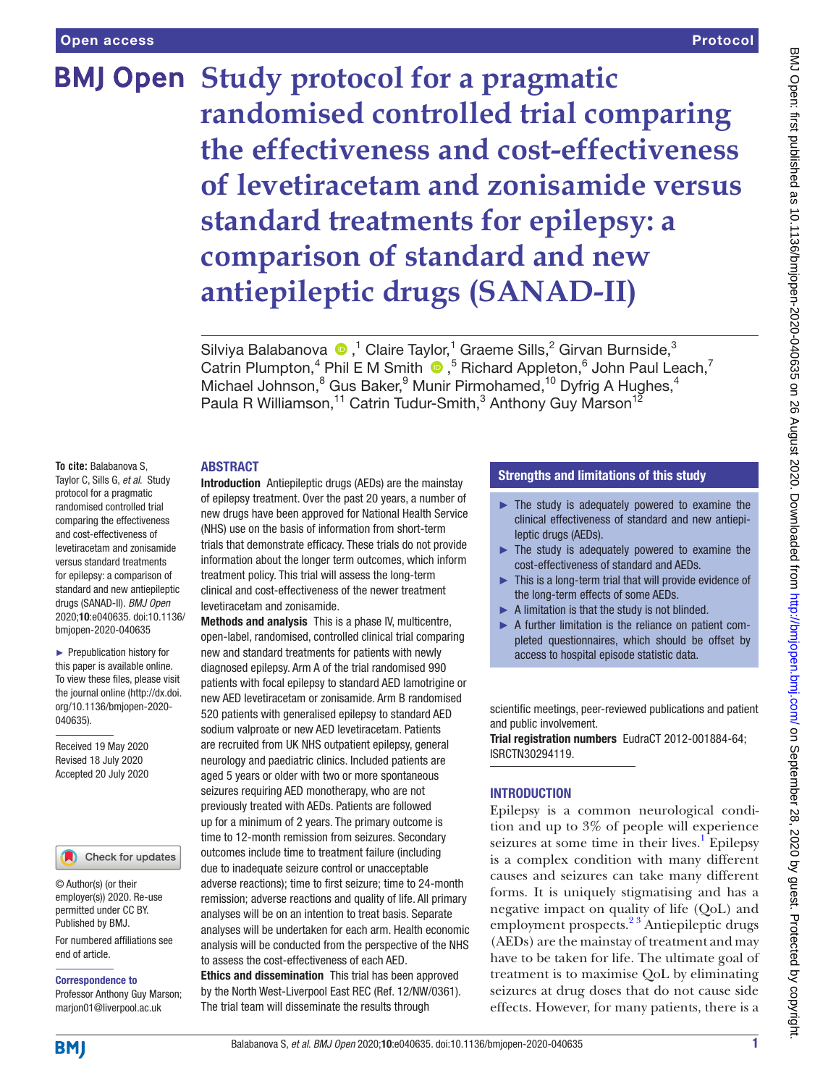# **BMJ Open** Study protocol for a pragmatic **randomised controlled trial comparing the effectiveness and cost-effectiveness of levetiracetam and zonisamide versus standard treatments for epilepsy: a comparison of standard and new antiepileptic drugs (SANAD-II)**

SilviyaBalabanova  $\bigcirc$ ,<sup>1</sup> Claire Taylor,<sup>1</sup> Graeme Sills,<sup>2</sup> Girvan Burnside,<sup>3</sup> CatrinPlumpton,<sup>4</sup> Phil E M Smith  $\bullet$ ,<sup>5</sup> Richard Appleton,<sup>6</sup> John Paul Leach,<sup>7</sup> Michael Johnson,<sup>8</sup> Gus Baker,<sup>9</sup> Munir Pirmohamed,<sup>10</sup> Dyfrig A Hughes,<sup>4</sup> Paula R Williamson,<sup>11</sup> Catrin Tudur-Smith,<sup>3</sup> Anthony Guy Marson<sup>12</sup>

#### ABSTRACT

**To cite:** Balabanova S, Taylor C, Sills G, *et al*. Study protocol for a pragmatic randomised controlled trial comparing the effectiveness and cost-effectiveness of levetiracetam and zonisamide versus standard treatments for epilepsy: a comparison of standard and new antiepileptic drugs (SANAD-II). *BMJ Open* 2020;10:e040635. doi:10.1136/ bmjopen-2020-040635

► Prepublication history for this paper is available online. To view these files, please visit the journal online (http://dx.doi. org/10.1136/bmjopen-2020- 040635).

Received 19 May 2020 Revised 18 July 2020 Accepted 20 July 2020

#### Check for updates

© Author(s) (or their employer(s)) 2020. Re-use permitted under CC BY. Published by BMJ.

For numbered affiliations see end of article.

Correspondence to

Professor Anthony Guy Marson; marjon01@liverpool.ac.uk

Introduction Antiepileptic drugs (AEDs) are the mainstay of epilepsy treatment. Over the past 20 years, a number of new drugs have been approved for National Health Service (NHS) use on the basis of information from short-term trials that demonstrate efficacy. These trials do not provide information about the longer term outcomes, which inform treatment policy. This trial will assess the long-term clinical and cost-effectiveness of the newer treatment levetiracetam and zonisamide.

Methods and analysis This is a phase IV, multicentre, open-label, randomised, controlled clinical trial comparing new and standard treatments for patients with newly diagnosed epilepsy. Arm A of the trial randomised 990 patients with focal epilepsy to standard AED lamotrigine or new AED levetiracetam or zonisamide. Arm B randomised 520 patients with generalised epilepsy to standard AED sodium valproate or new AED levetiracetam. Patients are recruited from UK NHS outpatient epilepsy, general neurology and paediatric clinics. Included patients are aged 5 years or older with two or more spontaneous seizures requiring AED monotherapy, who are not previously treated with AEDs. Patients are followed up for a minimum of 2 years. The primary outcome is time to 12-month remission from seizures. Secondary outcomes include time to treatment failure (including due to inadequate seizure control or unacceptable adverse reactions); time to first seizure; time to 24-month remission; adverse reactions and quality of life. All primary analyses will be on an intention to treat basis. Separate analyses will be undertaken for each arm. Health economic analysis will be conducted from the perspective of the NHS to assess the cost-effectiveness of each AED.

Ethics and dissemination This trial has been approved by the North West-Liverpool East REC (Ref. 12/NW/0361). The trial team will disseminate the results through

# Strengths and limitations of this study

- ► The study is adequately powered to examine the clinical effectiveness of standard and new antiepileptic drugs (AEDs).
- $\blacktriangleright$  The study is adequately powered to examine the cost-effectiveness of standard and AEDs.
- ► This is a long-term trial that will provide evidence of the long-term effects of some AEDs.
- $\blacktriangleright$  A limitation is that the study is not blinded.
- ► A further limitation is the reliance on patient completed questionnaires, which should be offset by access to hospital episode statistic data.

scientific meetings, peer-reviewed publications and patient and public involvement.

Trial registration numbers EudraCT 2012-001884-64; [ISRCTN30294119.](ISRCTN30294119)

# **INTRODUCTION**

Epilepsy is a common neurological condition and up to 3% of people will experience seizures at some time in their lives.<sup>[1](#page-7-0)</sup> Epilepsy is a complex condition with many different causes and seizures can take many different forms. It is uniquely stigmatising and has a negative impact on quality of life (QoL) and employment prospects.[2 3](#page-8-0) Antiepileptic drugs (AEDs) are the mainstay of treatment and may have to be taken for life. The ultimate goal of treatment is to maximise QoL by eliminating seizures at drug doses that do not cause side effects. However, for many patients, there is a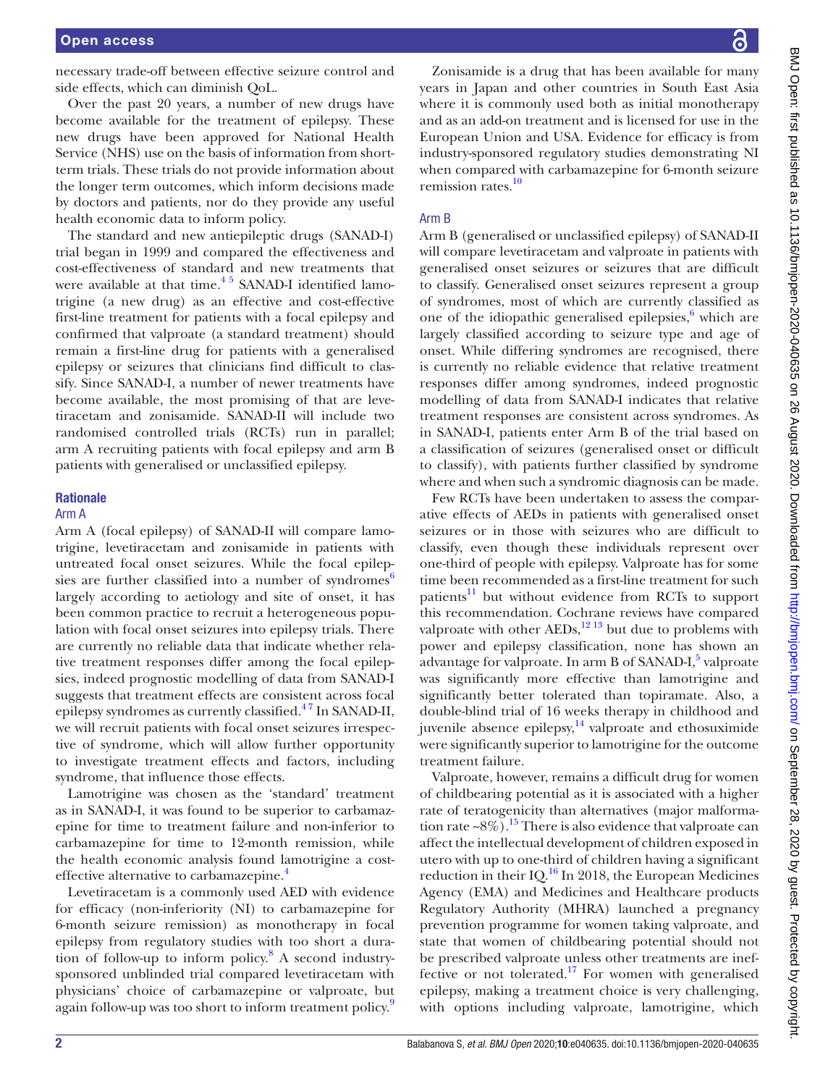necessary trade-off between effective seizure control and side effects, which can diminish QoL.

Over the past 20 years, a number of new drugs have become available for the treatment of epilepsy. These new drugs have been approved for National Health Service (NHS) use on the basis of information from shortterm trials. These trials do not provide information about the longer term outcomes, which inform decisions made by doctors and patients, nor do they provide any useful health economic data to inform policy.

The standard and new antiepileptic drugs (SANAD-I) trial began in 1999 and compared the effectiveness and cost-effectiveness of standard and new treatments that were available at that time. $45$  SANAD-I identified lamotrigine (a new drug) as an effective and cost-effective first-line treatment for patients with a focal epilepsy and confirmed that valproate (a standard treatment) should remain a first-line drug for patients with a generalised epilepsy or seizures that clinicians find difficult to classify. Since SANAD-I, a number of newer treatments have become available, the most promising of that are levetiracetam and zonisamide. SANAD-II will include two randomised controlled trials (RCTs) run in parallel; arm A recruiting patients with focal epilepsy and arm B patients with generalised or unclassified epilepsy.

#### **Rationale**

#### Arm A

Arm A (focal epilepsy) of SANAD-II will compare lamotrigine, levetiracetam and zonisamide in patients with untreated focal onset seizures. While the focal epilepsies are further classified into a number of syndromes $6$ largely according to aetiology and site of onset, it has been common practice to recruit a heterogeneous population with focal onset seizures into epilepsy trials. There are currently no reliable data that indicate whether relative treatment responses differ among the focal epilepsies, indeed prognostic modelling of data from SANAD-I suggests that treatment effects are consistent across focal epilepsy syndromes as currently classified.<sup>47</sup> In SANAD-II, we will recruit patients with focal onset seizures irrespective of syndrome, which will allow further opportunity to investigate treatment effects and factors, including syndrome, that influence those effects.

Lamotrigine was chosen as the 'standard' treatment as in SANAD-I, it was found to be superior to carbamazepine for time to treatment failure and non-inferior to carbamazepine for time to 12-month remission, while the health economic analysis found lamotrigine a cost-effective alternative to carbamazepine.<sup>[4](#page-8-1)</sup>

Levetiracetam is a commonly used AED with evidence for efficacy (non-inferiority (NI) to carbamazepine for 6-month seizure remission) as monotherapy in focal epilepsy from regulatory studies with too short a duration of follow-up to inform policy. [8](#page-8-3) A second industrysponsored unblinded trial compared levetiracetam with physicians' choice of carbamazepine or valproate, but again follow-up was too short to inform treatment policy.<sup>[9](#page-8-4)</sup>

Zonisamide is a drug that has been available for many years in Japan and other countries in South East Asia where it is commonly used both as initial monotherapy and as an add-on treatment and is licensed for use in the European Union and USA. Evidence for efficacy is from industry-sponsored regulatory studies demonstrating NI when compared with carbamazepine for 6-month seizure remission rates.<sup>[10](#page-8-5)</sup>

#### Arm B

Arm B (generalised or unclassified epilepsy) of SANAD-II will compare levetiracetam and valproate in patients with generalised onset seizures or seizures that are difficult to classify. Generalised onset seizures represent a group of syndromes, most of which are currently classified as one of the idiopathic generalised epilepsies, $6$  which are largely classified according to seizure type and age of onset. While differing syndromes are recognised, there is currently no reliable evidence that relative treatment responses differ among syndromes, indeed prognostic modelling of data from SANAD-I indicates that relative treatment responses are consistent across syndromes. As in SANAD-I, patients enter Arm B of the trial based on a classification of seizures (generalised onset or difficult to classify), with patients further classified by syndrome where and when such a syndromic diagnosis can be made.

Few RCTs have been undertaken to assess the comparative effects of AEDs in patients with generalised onset seizures or in those with seizures who are difficult to classify, even though these individuals represent over one-third of people with epilepsy. Valproate has for some time been recommended as a first-line treatment for such patients $11$  but without evidence from RCTs to support this recommendation. Cochrane reviews have compared valproate with other  $AEDs$ ,<sup>[12 13](#page-8-7)</sup> but due to problems with power and epilepsy classification, none has shown an advantage for valproate. In arm B of SANAD-I,<sup>[5](#page-8-8)</sup> valproate was significantly more effective than lamotrigine and significantly better tolerated than topiramate. Also, a double-blind trial of 16 weeks therapy in childhood and juvenile absence epilepsy,<sup>[14](#page-8-9)</sup> valproate and ethosuximide were significantly superior to lamotrigine for the outcome treatment failure.

Valproate, however, remains a difficult drug for women of childbearing potential as it is associated with a higher rate of teratogenicity than alternatives (major malformation rate  $\sim 8\%$ ).<sup>[15](#page-8-10)</sup> There is also evidence that valproate can affect the intellectual development of children exposed in utero with up to one-third of children having a significant reduction in their IQ.[16](#page-8-11) In 2018, the European Medicines Agency (EMA) and Medicines and Healthcare products Regulatory Authority (MHRA) launched a pregnancy prevention programme for women taking valproate, and state that women of childbearing potential should not be prescribed valproate unless other treatments are ineffective or not tolerated.<sup>17</sup> For women with generalised epilepsy, making a treatment choice is very challenging, with options including valproate, lamotrigine, which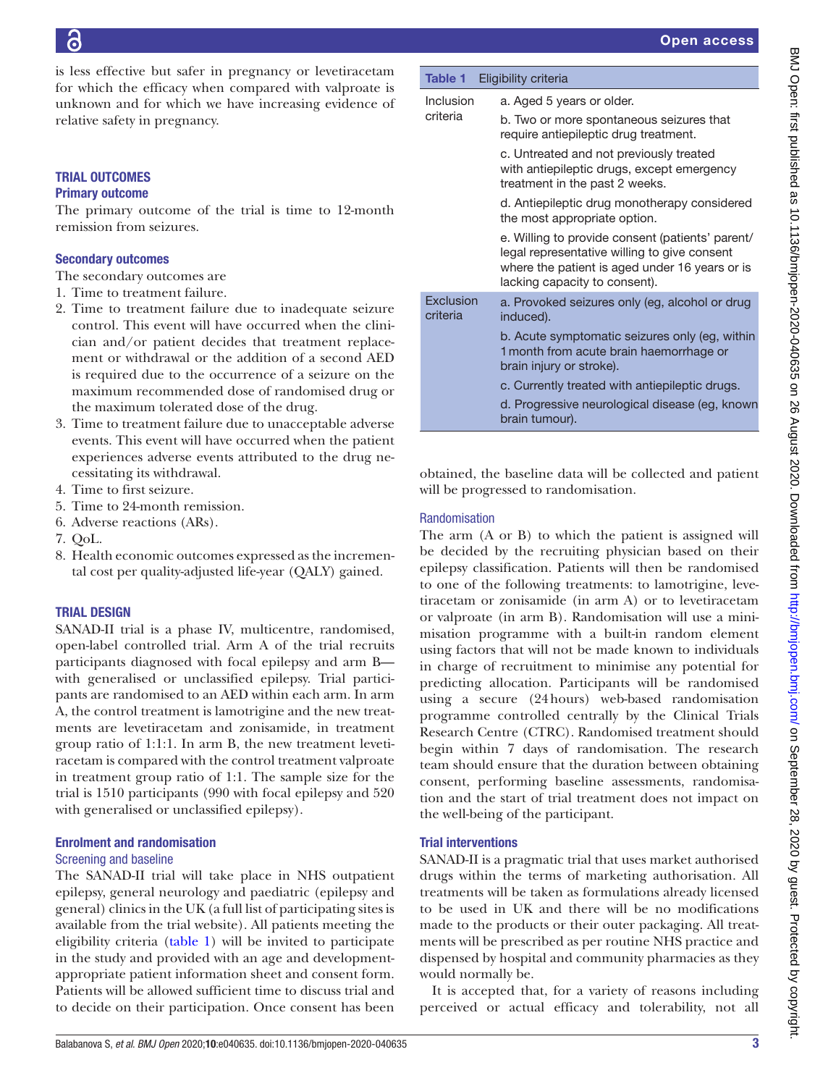is less effective but safer in pregnancy or levetiracetam for which the efficacy when compared with valproate is unknown and for which we have increasing evidence of relative safety in pregnancy.

# TRIAL OUTCOMES

# Primary outcome

The primary outcome of the trial is time to 12-month remission from seizures.

# Secondary outcomes

The secondary outcomes are

- 1. Time to treatment failure.
- 2. Time to treatment failure due to inadequate seizure control. This event will have occurred when the clinician and/or patient decides that treatment replacement or withdrawal or the addition of a second AED is required due to the occurrence of a seizure on the maximum recommended dose of randomised drug or the maximum tolerated dose of the drug.
- 3. Time to treatment failure due to unacceptable adverse events. This event will have occurred when the patient experiences adverse events attributed to the drug necessitating its withdrawal.
- 4. Time to first seizure.
- 5. Time to 24-month remission.
- 6. Adverse reactions (ARs).
- 7. QoL.
- 8. Health economic outcomes expressed as the incremental cost per quality-adjusted life-year (QALY) gained.

# TRIAL DESIGN

SANAD-II trial is a phase IV, multicentre, randomised, open-label controlled trial. Arm A of the trial recruits participants diagnosed with focal epilepsy and arm B with generalised or unclassified epilepsy. Trial participants are randomised to an AED within each arm. In arm A, the control treatment is lamotrigine and the new treatments are levetiracetam and zonisamide, in treatment group ratio of 1:1:1. In arm B, the new treatment levetiracetam is compared with the control treatment valproate in treatment group ratio of 1:1. The sample size for the trial is 1510 participants (990 with focal epilepsy and 520 with generalised or unclassified epilepsy).

# Enrolment and randomisation

# Screening and baseline

The SANAD-II trial will take place in NHS outpatient epilepsy, general neurology and paediatric (epilepsy and general) clinics in the UK (a full list of participating sites is available from the trial website). All patients meeting the eligibility criteria ([table](#page-2-0) 1) will be invited to participate in the study and provided with an age and developmentappropriate patient information sheet and consent form. Patients will be allowed sufficient time to discuss trial and to decide on their participation. Once consent has been

<span id="page-2-0"></span>

| Table 1               | Eligibility criteria                                                                                                                                                                |
|-----------------------|-------------------------------------------------------------------------------------------------------------------------------------------------------------------------------------|
| Inclusion             | a. Aged 5 years or older.                                                                                                                                                           |
| criteria              | b. Two or more spontaneous seizures that<br>require antiepileptic drug treatment.                                                                                                   |
|                       | c. Untreated and not previously treated<br>with antiepileptic drugs, except emergency<br>treatment in the past 2 weeks.                                                             |
|                       | d. Antiepileptic drug monotherapy considered<br>the most appropriate option.                                                                                                        |
|                       | e. Willing to provide consent (patients' parent/<br>legal representative willing to give consent<br>where the patient is aged under 16 years or is<br>lacking capacity to consent). |
| Exclusion<br>criteria | a. Provoked seizures only (eg, alcohol or drug<br>induced).                                                                                                                         |
|                       | b. Acute symptomatic seizures only (eg, within<br>1 month from acute brain haemorrhage or<br>brain injury or stroke).                                                               |
|                       | c. Currently treated with antiepileptic drugs.<br>d. Progressive neurological disease (eg, known<br>brain tumour).                                                                  |

obtained, the baseline data will be collected and patient will be progressed to randomisation.

# Randomisation

The arm (A or B) to which the patient is assigned will be decided by the recruiting physician based on their epilepsy classification. Patients will then be randomised to one of the following treatments: to lamotrigine, levetiracetam or zonisamide (in arm A) or to levetiracetam or valproate (in arm B). Randomisation will use a minimisation programme with a built-in random element using factors that will not be made known to individuals in charge of recruitment to minimise any potential for predicting allocation. Participants will be randomised using a secure (24hours) web-based randomisation programme controlled centrally by the Clinical Trials Research Centre (CTRC). Randomised treatment should begin within 7 days of randomisation. The research team should ensure that the duration between obtaining consent, performing baseline assessments, randomisation and the start of trial treatment does not impact on the well-being of the participant.

# Trial interventions

SANAD-II is a pragmatic trial that uses market authorised drugs within the terms of marketing authorisation. All treatments will be taken as formulations already licensed to be used in UK and there will be no modifications made to the products or their outer packaging. All treatments will be prescribed as per routine NHS practice and dispensed by hospital and community pharmacies as they would normally be.

It is accepted that, for a variety of reasons including perceived or actual efficacy and tolerability, not all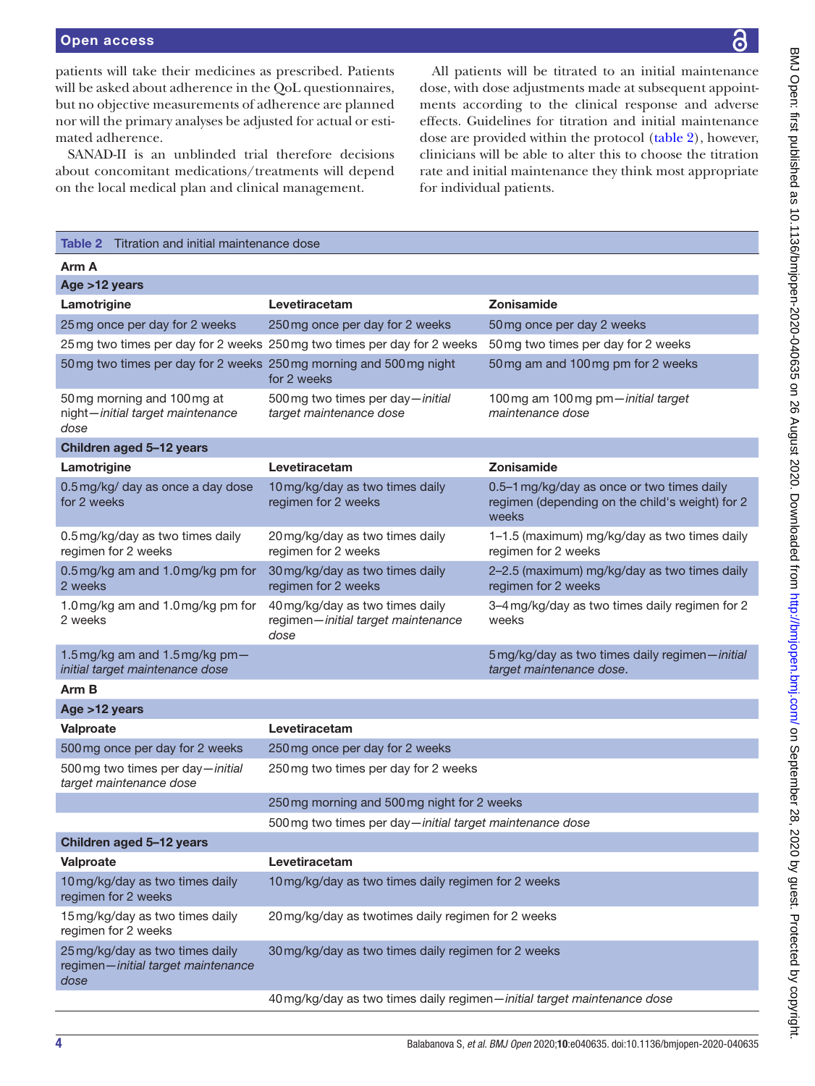#### Open access

BMJ Open: first published as 10.1136/bmjopen-2020-040635 on 26 August 2020. Downloaded from http://bmjopen.bmj.com/ on September 28, 2020 by guest. Protected by copyright. BMJ Open: first published as 10.1136/bmjopen-2020-040635 on 26 August 2020. Downloaded from <http://bmjopen.bmj.com/> on September 28, 2020 by guest. Protected by copyright

patients will take their medicines as prescribed. Patients will be asked about adherence in the QoL questionnaires, but no objective measurements of adherence are planned nor will the primary analyses be adjusted for actual or estimated adherence.

SANAD-II is an unblinded trial therefore decisions about concomitant medications/treatments will depend on the local medical plan and clinical management.

All patients will be titrated to an initial maintenance dose, with dose adjustments made at subsequent appointments according to the clinical response and adverse effects. Guidelines for titration and initial maintenance dose are provided within the protocol [\(table](#page-3-0) 2), however, clinicians will be able to alter this to choose the titration rate and initial maintenance they think most appropriate for individual patients.

<span id="page-3-0"></span>

| Titration and initial maintenance dose<br>Table 2                             |                                                                               |                                                                                                        |  |  |  |  |  |
|-------------------------------------------------------------------------------|-------------------------------------------------------------------------------|--------------------------------------------------------------------------------------------------------|--|--|--|--|--|
| Arm A                                                                         |                                                                               |                                                                                                        |  |  |  |  |  |
| Age >12 years                                                                 |                                                                               |                                                                                                        |  |  |  |  |  |
| Lamotrigine                                                                   | Levetiracetam                                                                 | <b>Zonisamide</b>                                                                                      |  |  |  |  |  |
| 25 mg once per day for 2 weeks                                                | 250 mg once per day for 2 weeks                                               | 50 mg once per day 2 weeks                                                                             |  |  |  |  |  |
|                                                                               | 25 mg two times per day for 2 weeks 250 mg two times per day for 2 weeks      | 50 mg two times per day for 2 weeks                                                                    |  |  |  |  |  |
| 50 mg two times per day for 2 weeks 250 mg morning and 500 mg night           | for 2 weeks                                                                   | 50 mg am and 100 mg pm for 2 weeks                                                                     |  |  |  |  |  |
| 50 mg morning and 100 mg at<br>night-initial target maintenance<br>dose       | 500 mg two times per day-initial<br>target maintenance dose                   | 100 mg am 100 mg pm - initial target<br>maintenance dose                                               |  |  |  |  |  |
| Children aged 5-12 years                                                      |                                                                               |                                                                                                        |  |  |  |  |  |
| Lamotrigine                                                                   | Levetiracetam                                                                 | <b>Zonisamide</b>                                                                                      |  |  |  |  |  |
| 0.5 mg/kg/ day as once a day dose<br>for 2 weeks                              | 10 mg/kg/day as two times daily<br>regimen for 2 weeks                        | 0.5-1 mg/kg/day as once or two times daily<br>regimen (depending on the child's weight) for 2<br>weeks |  |  |  |  |  |
| 0.5 mg/kg/day as two times daily<br>regimen for 2 weeks                       | 20 mg/kg/day as two times daily<br>regimen for 2 weeks                        | 1-1.5 (maximum) mg/kg/day as two times daily<br>regimen for 2 weeks                                    |  |  |  |  |  |
| 0.5 mg/kg am and 1.0 mg/kg pm for<br>2 weeks                                  | 30 mg/kg/day as two times daily<br>regimen for 2 weeks                        | 2-2.5 (maximum) mg/kg/day as two times daily<br>regimen for 2 weeks                                    |  |  |  |  |  |
| 1.0 mg/kg am and 1.0 mg/kg pm for<br>2 weeks                                  | 40 mg/kg/day as two times daily<br>regimen-initial target maintenance<br>dose | 3-4 mg/kg/day as two times daily regimen for 2<br>weeks                                                |  |  |  |  |  |
| 1.5 mg/kg am and 1.5 mg/kg pm-<br>initial target maintenance dose             |                                                                               | 5 mg/kg/day as two times daily regimen-initial<br>target maintenance dose.                             |  |  |  |  |  |
| Arm B                                                                         |                                                                               |                                                                                                        |  |  |  |  |  |
| Age >12 years                                                                 |                                                                               |                                                                                                        |  |  |  |  |  |
| Valproate                                                                     | Levetiracetam                                                                 |                                                                                                        |  |  |  |  |  |
| 500 mg once per day for 2 weeks                                               | 250 mg once per day for 2 weeks                                               |                                                                                                        |  |  |  |  |  |
| 500 mg two times per day-initial<br>target maintenance dose                   | 250 mg two times per day for 2 weeks                                          |                                                                                                        |  |  |  |  |  |
|                                                                               | 250 mg morning and 500 mg night for 2 weeks                                   |                                                                                                        |  |  |  |  |  |
|                                                                               | 500 mg two times per day—initial target maintenance dose                      |                                                                                                        |  |  |  |  |  |
| Children aged 5-12 years                                                      |                                                                               |                                                                                                        |  |  |  |  |  |
| Valproate                                                                     | Levetiracetam                                                                 |                                                                                                        |  |  |  |  |  |
| 10 mg/kg/day as two times daily<br>regimen for 2 weeks                        | 10 mg/kg/day as two times daily regimen for 2 weeks                           |                                                                                                        |  |  |  |  |  |
| 15 mg/kg/day as two times daily<br>regimen for 2 weeks                        | 20 mg/kg/day as twotimes daily regimen for 2 weeks                            |                                                                                                        |  |  |  |  |  |
| 25 mg/kg/day as two times daily<br>regimen-initial target maintenance<br>dose | 30 mg/kg/day as two times daily regimen for 2 weeks                           |                                                                                                        |  |  |  |  |  |
|                                                                               | 40 mg/kg/day as two times daily regimen-initial target maintenance dose       |                                                                                                        |  |  |  |  |  |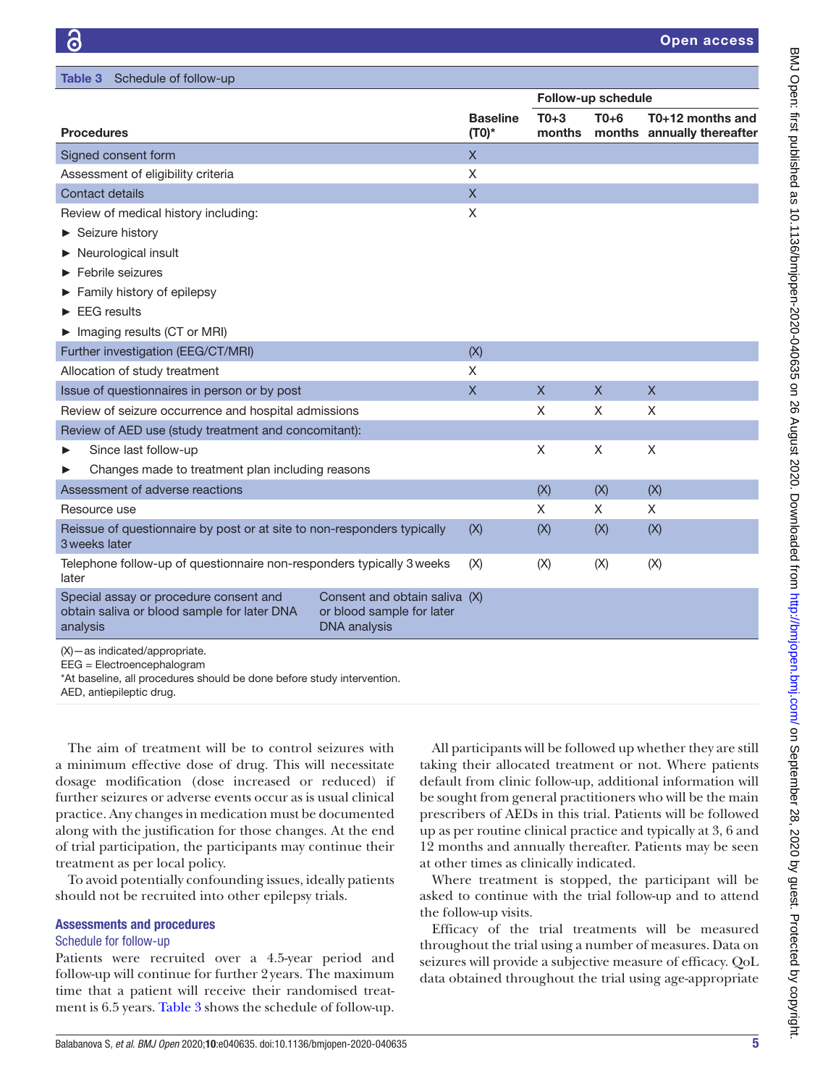<span id="page-4-0"></span>

| Schedule of follow-up<br>Table 3                                                                  |                                                                                   |                             |                    |              |                                                |
|---------------------------------------------------------------------------------------------------|-----------------------------------------------------------------------------------|-----------------------------|--------------------|--------------|------------------------------------------------|
|                                                                                                   |                                                                                   |                             | Follow-up schedule |              |                                                |
| <b>Procedures</b>                                                                                 |                                                                                   | <b>Baseline</b><br>$(T0)^*$ | $T0+3$<br>months   | $T0+6$       | T0+12 months and<br>months annually thereafter |
| Signed consent form                                                                               | X                                                                                 |                             |                    |              |                                                |
| Assessment of eligibility criteria                                                                |                                                                                   |                             |                    |              |                                                |
| <b>Contact details</b>                                                                            | X                                                                                 |                             |                    |              |                                                |
| Review of medical history including:                                                              |                                                                                   |                             |                    |              |                                                |
| $\triangleright$ Seizure history                                                                  |                                                                                   |                             |                    |              |                                                |
| Neurological insult                                                                               |                                                                                   |                             |                    |              |                                                |
| Febrile seizures                                                                                  |                                                                                   |                             |                    |              |                                                |
| Family history of epilepsy                                                                        |                                                                                   |                             |                    |              |                                                |
| $\blacktriangleright$ EEG results                                                                 |                                                                                   |                             |                    |              |                                                |
| $\triangleright$ Imaging results (CT or MRI)                                                      |                                                                                   |                             |                    |              |                                                |
| Further investigation (EEG/CT/MRI)                                                                |                                                                                   | (X)                         |                    |              |                                                |
| Allocation of study treatment                                                                     |                                                                                   |                             |                    |              |                                                |
| Issue of questionnaires in person or by post                                                      |                                                                                   |                             | $\mathsf{X}$       | $\mathsf{X}$ | $\mathsf{X}$                                   |
| Review of seizure occurrence and hospital admissions                                              |                                                                                   |                             | X                  | X            | $\times$                                       |
| Review of AED use (study treatment and concomitant):                                              |                                                                                   |                             |                    |              |                                                |
| Since last follow-up                                                                              |                                                                                   |                             | Χ                  | X            | X                                              |
| Changes made to treatment plan including reasons<br>▶                                             |                                                                                   |                             |                    |              |                                                |
| Assessment of adverse reactions                                                                   |                                                                                   |                             | (X)                | (X)          | (X)                                            |
| Resource use                                                                                      |                                                                                   |                             | X                  | X            | X                                              |
| Reissue of questionnaire by post or at site to non-responders typically<br>3 weeks later          |                                                                                   |                             | (X)                | (X)          | (X)                                            |
| Telephone follow-up of questionnaire non-responders typically 3 weeks<br>later                    |                                                                                   |                             | (X)                | (X)          | (X)                                            |
| Special assay or procedure consent and<br>obtain saliva or blood sample for later DNA<br>analysis | Consent and obtain saliva (X)<br>or blood sample for later<br><b>DNA</b> analysis |                             |                    |              |                                                |
| $(X)$ - as indicated/appropriate.                                                                 |                                                                                   |                             |                    |              |                                                |

EEG = Electroencephalogram

\*At baseline, all procedures should be done before study intervention.

AED, antiepileptic drug.

The aim of treatment will be to control seizures with a minimum effective dose of drug. This will necessitate dosage modification (dose increased or reduced) if further seizures or adverse events occur as is usual clinical practice. Any changes in medication must be documented along with the justification for those changes. At the end of trial participation, the participants may continue their treatment as per local policy.

To avoid potentially confounding issues, ideally patients should not be recruited into other epilepsy trials.

#### Assessments and procedures

#### Schedule for follow-up

Patients were recruited over a 4.5-year period and follow-up will continue for further 2years. The maximum time that a patient will receive their randomised treatment is 6.5 years. [Table](#page-4-0) 3 shows the schedule of follow-up.

All participants will be followed up whether they are still taking their allocated treatment or not. Where patients default from clinic follow-up, additional information will be sought from general practitioners who will be the main prescribers of AEDs in this trial. Patients will be followed up as per routine clinical practice and typically at 3, 6 and 12 months and annually thereafter. Patients may be seen at other times as clinically indicated.

Where treatment is stopped, the participant will be asked to continue with the trial follow-up and to attend the follow-up visits.

Efficacy of the trial treatments will be measured throughout the trial using a number of measures. Data on seizures will provide a subjective measure of efficacy. QoL data obtained throughout the trial using age-appropriate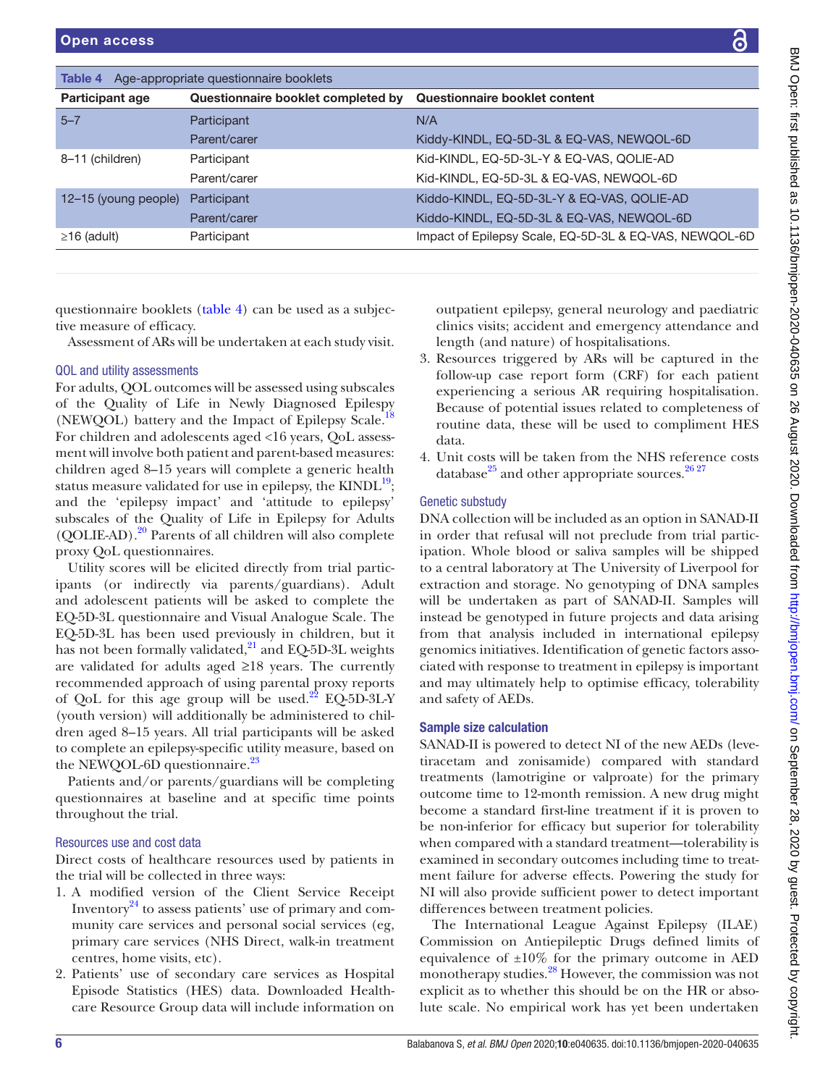| ļ                                                                                                                             |
|-------------------------------------------------------------------------------------------------------------------------------|
| ׅׅׅׅ֧֧֖֧֚֚֚֚֚֚֚֚֚֚֚֚֚֚֚֚֚֚֚֚֚֚֚֚֚֚֚֚֚֚֚֚֚֡֝֡֓֡֓֡֓֡֓֓֞֝֓֞֝֓֞֝                                                                  |
|                                                                                                                               |
|                                                                                                                               |
|                                                                                                                               |
|                                                                                                                               |
|                                                                                                                               |
|                                                                                                                               |
|                                                                                                                               |
|                                                                                                                               |
|                                                                                                                               |
| + Printing Pod Pod Pr                                                                                                         |
|                                                                                                                               |
|                                                                                                                               |
| コフィインピュン                                                                                                                      |
|                                                                                                                               |
|                                                                                                                               |
|                                                                                                                               |
|                                                                                                                               |
|                                                                                                                               |
|                                                                                                                               |
|                                                                                                                               |
|                                                                                                                               |
|                                                                                                                               |
| JOJOLOANE or Je Minimu                                                                                                        |
|                                                                                                                               |
|                                                                                                                               |
|                                                                                                                               |
|                                                                                                                               |
|                                                                                                                               |
|                                                                                                                               |
|                                                                                                                               |
|                                                                                                                               |
|                                                                                                                               |
|                                                                                                                               |
|                                                                                                                               |
| .<br>גע                                                                                                                       |
|                                                                                                                               |
|                                                                                                                               |
|                                                                                                                               |
|                                                                                                                               |
|                                                                                                                               |
|                                                                                                                               |
|                                                                                                                               |
| )<br>)<br>)                                                                                                                   |
|                                                                                                                               |
| האנוני בסיסות הייני בין באנוני בסיסות הייני בין באקרים בין באקרים בין באנוני בסיסות הייני בין באנוני בסיסות הי<br>;<br>;<br>; |
|                                                                                                                               |
|                                                                                                                               |
|                                                                                                                               |
| ろ ケキラ・ミラ                                                                                                                      |
|                                                                                                                               |
|                                                                                                                               |
|                                                                                                                               |
|                                                                                                                               |
|                                                                                                                               |
|                                                                                                                               |
|                                                                                                                               |
|                                                                                                                               |
|                                                                                                                               |
|                                                                                                                               |
|                                                                                                                               |
|                                                                                                                               |
|                                                                                                                               |
|                                                                                                                               |
|                                                                                                                               |
|                                                                                                                               |
|                                                                                                                               |
|                                                                                                                               |
|                                                                                                                               |
|                                                                                                                               |
|                                                                                                                               |
|                                                                                                                               |
|                                                                                                                               |
|                                                                                                                               |
| <b>CALCAR CONTROL TECT TO THAT SERVER</b>                                                                                     |
|                                                                                                                               |
|                                                                                                                               |
|                                                                                                                               |
|                                                                                                                               |
|                                                                                                                               |
|                                                                                                                               |
|                                                                                                                               |
|                                                                                                                               |

<span id="page-5-0"></span>

| Age-appropriate questionnaire booklets<br>Table 4 |                                    |                                                        |  |  |
|---------------------------------------------------|------------------------------------|--------------------------------------------------------|--|--|
| <b>Participant age</b>                            | Questionnaire booklet completed by | Questionnaire booklet content                          |  |  |
| $5 - 7$                                           | Participant                        | N/A                                                    |  |  |
|                                                   | Parent/carer                       | Kiddy-KINDL, EQ-5D-3L & EQ-VAS, NEWQOL-6D              |  |  |
| 8–11 (children)                                   | Participant                        | Kid-KINDL, EQ-5D-3L-Y & EQ-VAS, QOLIE-AD               |  |  |
|                                                   | Parent/carer                       | Kid-KINDL, EQ-5D-3L & EQ-VAS, NEWQOL-6D                |  |  |
| 12–15 (young people)                              | Participant                        | Kiddo-KINDL, EQ-5D-3L-Y & EQ-VAS, QOLIE-AD             |  |  |
|                                                   | Parent/carer                       | Kiddo-KINDL, EQ-5D-3L & EQ-VAS, NEWQOL-6D              |  |  |
| $\geq$ 16 (adult)                                 | Participant                        | Impact of Epilepsy Scale, EQ-5D-3L & EQ-VAS, NEWQOL-6D |  |  |
|                                                   |                                    |                                                        |  |  |

questionnaire booklets ([table](#page-5-0) 4) can be used as a subjective measure of efficacy.

Assessment of ARs will be undertaken at each study visit.

#### QOL and utility assessments

For adults, QOL outcomes will be assessed using subscales of the Quality of Life in Newly Diagnosed Epilespy (NEWQOL) battery and the Impact of Epilepsy Scale.<sup>1</sup> For children and adolescents aged <16 years, QoL assessment will involve both patient and parent-based measures: children aged 8–15 years will complete a generic health status measure validated for use in epilepsy, the  $KINDL^{19}$  $KINDL^{19}$  $KINDL^{19}$ ; and the 'epilepsy impact' and 'attitude to epilepsy' subscales of the Quality of Life in Epilepsy for Adults (QOLIE-AD).[20](#page-8-15) Parents of all children will also complete proxy QoL questionnaires.

Utility scores will be elicited directly from trial participants (or indirectly via parents/guardians). Adult and adolescent patients will be asked to complete the EQ-5D-3L questionnaire and Visual Analogue Scale. The EQ-5D-3L has been used previously in children, but it has not been formally validated,<sup>21</sup> and EQ-5D-3L weights are validated for adults aged ≥18 years. The currently recommended approach of using parental proxy reports of QoL for this age group will be used.<sup>22</sup> EQ-5D-3L-Y (youth version) will additionally be administered to children aged 8–15 years. All trial participants will be asked to complete an epilepsy-specific utility measure, based on the NEWQOL-6D questionnaire.<sup>[23](#page-8-18)</sup>

Patients and/or parents/guardians will be completing questionnaires at baseline and at specific time points throughout the trial.

#### Resources use and cost data

Direct costs of healthcare resources used by patients in the trial will be collected in three ways:

- 1. A modified version of the Client Service Receipt Inventory<sup>[24](#page-8-19)</sup> to assess patients' use of primary and community care services and personal social services (eg, primary care services (NHS Direct, walk-in treatment centres, home visits, etc).
- 2. Patients' use of secondary care services as Hospital Episode Statistics (HES) data. Downloaded Healthcare Resource Group data will include information on

outpatient epilepsy, general neurology and paediatric clinics visits; accident and emergency attendance and length (and nature) of hospitalisations.

- 3. Resources triggered by ARs will be captured in the follow-up case report form (CRF) for each patient experiencing a serious AR requiring hospitalisation. Because of potential issues related to completeness of routine data, these will be used to compliment HES data.
- 4. Unit costs will be taken from the NHS reference costs database $^{25}$  and other appropriate sources.<sup>26,27</sup>

#### Genetic substudy

DNA collection will be included as an option in SANAD-II in order that refusal will not preclude from trial participation. Whole blood or saliva samples will be shipped to a central laboratory at The University of Liverpool for extraction and storage. No genotyping of DNA samples will be undertaken as part of SANAD-II. Samples will instead be genotyped in future projects and data arising from that analysis included in international epilepsy genomics initiatives. Identification of genetic factors associated with response to treatment in epilepsy is important and may ultimately help to optimise efficacy, tolerability and safety of AEDs.

#### Sample size calculation

SANAD-II is powered to detect NI of the new AEDs (levetiracetam and zonisamide) compared with standard treatments (lamotrigine or valproate) for the primary outcome time to 12-month remission. A new drug might become a standard first-line treatment if it is proven to be non-inferior for efficacy but superior for tolerability when compared with a standard treatment—tolerability is examined in secondary outcomes including time to treatment failure for adverse effects. Powering the study for NI will also provide sufficient power to detect important differences between treatment policies.

The International League Against Epilepsy (ILAE) Commission on Antiepileptic Drugs defined limits of equivalence of  $\pm 10\%$  for the primary outcome in AED monotherapy studies.<sup>28</sup> However, the commission was not explicit as to whether this should be on the HR or absolute scale. No empirical work has yet been undertaken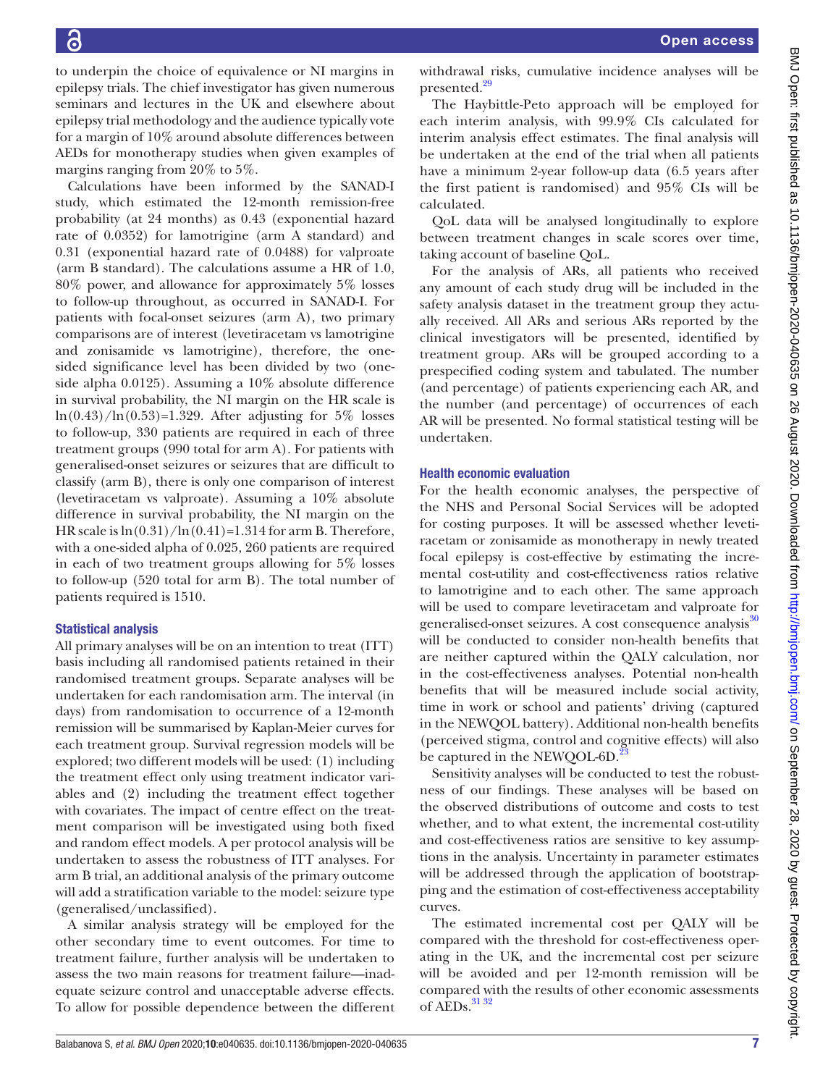to underpin the choice of equivalence or NI margins in epilepsy trials. The chief investigator has given numerous seminars and lectures in the UK and elsewhere about epilepsy trial methodology and the audience typically vote for a margin of 10% around absolute differences between AEDs for monotherapy studies when given examples of margins ranging from 20% to 5%.

Calculations have been informed by the SANAD-I study, which estimated the 12-month remission-free probability (at 24 months) as 0.43 (exponential hazard rate of 0.0352) for lamotrigine (arm A standard) and 0.31 (exponential hazard rate of 0.0488) for valproate (arm B standard). The calculations assume a HR of 1.0, 80% power, and allowance for approximately 5% losses to follow-up throughout, as occurred in SANAD-I. For patients with focal-onset seizures (arm A), two primary comparisons are of interest (levetiracetam vs lamotrigine and zonisamide vs lamotrigine), therefore, the onesided significance level has been divided by two (oneside alpha 0.0125). Assuming a 10% absolute difference in survival probability, the NI margin on the HR scale is  $ln(0.43)/ln(0.53)=1.329$ . After adjusting for 5% losses to follow-up, 330 patients are required in each of three treatment groups (990 total for arm A). For patients with generalised-onset seizures or seizures that are difficult to classify (arm B), there is only one comparison of interest (levetiracetam vs valproate). Assuming a 10% absolute difference in survival probability, the NI margin on the HR scale is  $\ln(0.31)/\ln(0.41)$ =1.314 for arm B. Therefore, with a one-sided alpha of 0.025, 260 patients are required in each of two treatment groups allowing for 5% losses to follow-up (520 total for arm B). The total number of patients required is 1510.

# Statistical analysis

All primary analyses will be on an intention to treat (ITT) basis including all randomised patients retained in their randomised treatment groups. Separate analyses will be undertaken for each randomisation arm. The interval (in days) from randomisation to occurrence of a 12-month remission will be summarised by Kaplan-Meier curves for each treatment group. Survival regression models will be explored; two different models will be used: (1) including the treatment effect only using treatment indicator variables and (2) including the treatment effect together with covariates. The impact of centre effect on the treatment comparison will be investigated using both fixed and random effect models. A per protocol analysis will be undertaken to assess the robustness of ITT analyses. For arm B trial, an additional analysis of the primary outcome will add a stratification variable to the model: seizure type (generalised/unclassified).

A similar analysis strategy will be employed for the other secondary time to event outcomes. For time to treatment failure, further analysis will be undertaken to assess the two main reasons for treatment failure—inadequate seizure control and unacceptable adverse effects. To allow for possible dependence between the different

withdrawal risks, cumulative incidence analyses will be presented.<sup>[29](#page-8-23)</sup>

The Haybittle-Peto approach will be employed for each interim analysis, with 99.9% CIs calculated for interim analysis effect estimates. The final analysis will be undertaken at the end of the trial when all patients have a minimum 2-year follow-up data (6.5 years after the first patient is randomised) and 95% CIs will be calculated.

QoL data will be analysed longitudinally to explore between treatment changes in scale scores over time, taking account of baseline QoL.

For the analysis of ARs, all patients who received any amount of each study drug will be included in the safety analysis dataset in the treatment group they actually received. All ARs and serious ARs reported by the clinical investigators will be presented, identified by treatment group. ARs will be grouped according to a prespecified coding system and tabulated. The number (and percentage) of patients experiencing each AR, and the number (and percentage) of occurrences of each AR will be presented. No formal statistical testing will be undertaken.

#### Health economic evaluation

For the health economic analyses, the perspective of the NHS and Personal Social Services will be adopted for costing purposes. It will be assessed whether levetiracetam or zonisamide as monotherapy in newly treated focal epilepsy is cost-effective by estimating the incremental cost-utility and cost-effectiveness ratios relative to lamotrigine and to each other. The same approach will be used to compare levetiracetam and valproate for generalised-onset seizures. A cost consequence analysis<sup>[30](#page-8-24)</sup> will be conducted to consider non-health benefits that are neither captured within the QALY calculation, nor in the cost-effectiveness analyses. Potential non-health benefits that will be measured include social activity, time in work or school and patients' driving (captured in the NEWQOL battery). Additional non-health benefits (perceived stigma, control and cognitive effects) will also be captured in the NEWQOL-6D.<sup>[23](#page-8-18)</sup>

Sensitivity analyses will be conducted to test the robustness of our findings. These analyses will be based on the observed distributions of outcome and costs to test whether, and to what extent, the incremental cost-utility and cost-effectiveness ratios are sensitive to key assumptions in the analysis. Uncertainty in parameter estimates will be addressed through the application of bootstrapping and the estimation of cost-effectiveness acceptability curves.

The estimated incremental cost per QALY will be compared with the threshold for cost-effectiveness operating in the UK, and the incremental cost per seizure will be avoided and per 12-month remission will be compared with the results of other economic assessments of AEDs. $^{31\,32}$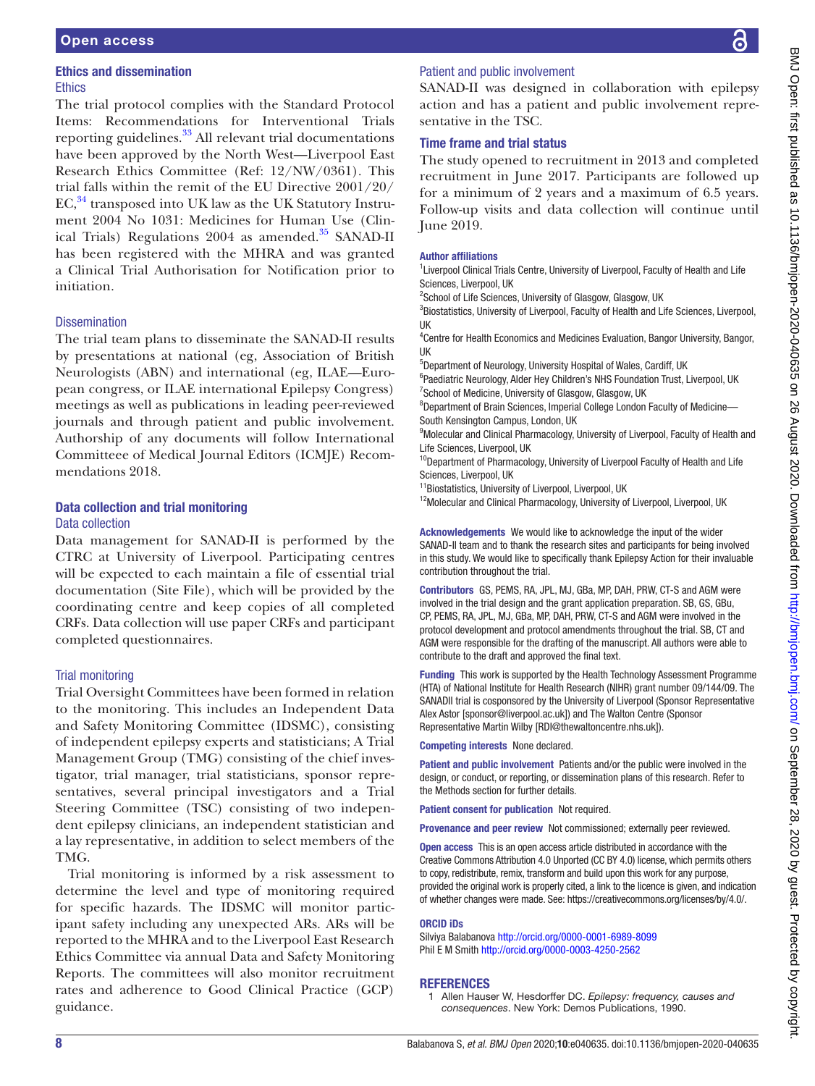#### Ethics and dissemination **Ethics**

The trial protocol complies with the Standard Protocol Items: Recommendations for Interventional Trials reporting guidelines.<sup>[33](#page-8-26)</sup> All relevant trial documentations have been approved by the North West—Liverpool East Research Ethics Committee (Ref: 12/NW/0361). This trial falls within the remit of the EU Directive 2001/20/ EC,<sup>[34](#page-8-27)</sup> transposed into UK law as the UK Statutory Instrument 2004 No 1031: Medicines for Human Use (Clinical Trials) Regulations  $2004$  as amended.<sup>[35](#page-8-28)</sup> SANAD-II has been registered with the MHRA and was granted a Clinical Trial Authorisation for Notification prior to initiation.

#### Dissemination

The trial team plans to disseminate the SANAD-II results by presentations at national (eg, Association of British Neurologists (ABN) and international (eg, ILAE—European congress, or ILAE international Epilepsy Congress) meetings as well as publications in leading peer-reviewed journals and through patient and public involvement. Authorship of any documents will follow International Committeee of Medical Journal Editors (ICMJE) Recommendations 2018.

#### Data collection and trial monitoring Data collection

Data management for SANAD-II is performed by the CTRC at University of Liverpool. Participating centres will be expected to each maintain a file of essential trial documentation (Site File), which will be provided by the coordinating centre and keep copies of all completed CRFs. Data collection will use paper CRFs and participant completed questionnaires.

# Trial monitoring

Trial Oversight Committees have been formed in relation to the monitoring. This includes an Independent Data and Safety Monitoring Committee (IDSMC), consisting of independent epilepsy experts and statisticians; A Trial Management Group (TMG) consisting of the chief investigator, trial manager, trial statisticians, sponsor representatives, several principal investigators and a Trial Steering Committee (TSC) consisting of two independent epilepsy clinicians, an independent statistician and a lay representative, in addition to select members of the TMG.

Trial monitoring is informed by a risk assessment to determine the level and type of monitoring required for specific hazards. The IDSMC will monitor participant safety including any unexpected ARs. ARs will be reported to the MHRA and to the Liverpool East Research Ethics Committee via annual Data and Safety Monitoring Reports. The committees will also monitor recruitment rates and adherence to Good Clinical Practice (GCP) guidance.

# Patient and public involvement

SANAD-II was designed in collaboration with epilepsy action and has a patient and public involvement representative in the TSC.

#### Time frame and trial status

The study opened to recruitment in 2013 and completed recruitment in June 2017. Participants are followed up for a minimum of 2 years and a maximum of 6.5 years. Follow-up visits and data collection will continue until June 2019.

#### Author affiliations

<sup>1</sup> Liverpool Clinical Trials Centre, University of Liverpool, Faculty of Health and Life Sciences, Liverpool, UK

<sup>2</sup>School of Life Sciences, University of Glasgow, Glasgow, UK

<sup>3</sup>Biostatistics, University of Liverpool, Faculty of Health and Life Sciences, Liverpool, UK

4 Centre for Health Economics and Medicines Evaluation, Bangor University, Bangor, UK

5 Department of Neurology, University Hospital of Wales, Cardiff, UK

<sup>6</sup>Paediatric Neurology, Alder Hey Children's NHS Foundation Trust, Liverpool, UK <sup>7</sup>School of Medicine, University of Glasgow, Glasgow, UK

<sup>8</sup>Department of Brain Sciences, Imperial College London Faculty of Medicine-South Kensington Campus, London, UK

<sup>9</sup>Molecular and Clinical Pharmacology, University of Liverpool, Faculty of Health and Life Sciences, Liverpool, UK

<sup>10</sup>Department of Pharmacology, University of Liverpool Faculty of Health and Life Sciences, Liverpool, UK

<sup>11</sup>Biostatistics, University of Liverpool, Liverpool, UK

<sup>12</sup>Molecular and Clinical Pharmacology, University of Liverpool, Liverpool, UK

Acknowledgements We would like to acknowledge the input of the wider SANAD-II team and to thank the research sites and participants for being involved in this study. We would like to specifically thank Epilepsy Action for their invaluable contribution throughout the trial.

Contributors GS, PEMS, RA, JPL, MJ, GBa, MP, DAH, PRW, CT-S and AGM were involved in the trial design and the grant application preparation. SB, GS, GBu, CP, PEMS, RA, JPL, MJ, GBa, MP, DAH, PRW, CT-S and AGM were involved in the protocol development and protocol amendments throughout the trial. SB, CT and AGM were responsible for the drafting of the manuscript. All authors were able to contribute to the draft and approved the final text.

Funding This work is supported by the Health Technology Assessment Programme (HTA) of National Institute for Health Research (NIHR) grant number 09/144/09. The SANADII trial is cosponsored by the University of Liverpool (Sponsor Representative Alex Astor [sponsor@liverpool.ac.uk]) and The Walton Centre (Sponsor Representative Martin Wilby [RDI@thewaltoncentre.nhs.uk]).

Competing interests None declared.

Patient and public involvement Patients and/or the public were involved in the design, or conduct, or reporting, or dissemination plans of this research. Refer to the Methods section for further details.

Patient consent for publication Not required.

Provenance and peer review Not commissioned; externally peer reviewed.

Open access This is an open access article distributed in accordance with the Creative Commons Attribution 4.0 Unported (CC BY 4.0) license, which permits others to copy, redistribute, remix, transform and build upon this work for any purpose, provided the original work is properly cited, a link to the licence is given, and indication of whether changes were made. See: <https://creativecommons.org/licenses/by/4.0/>.

#### ORCID iDs

Silviya Balabanova <http://orcid.org/0000-0001-6989-8099> Phil E M Smith <http://orcid.org/0000-0003-4250-2562>

#### **REFERENCES**

<span id="page-7-0"></span>1 Allen Hauser W, Hesdorffer DC. *Epilepsy: frequency, causes and consequences*. New York: Demos Publications, 1990.

႕